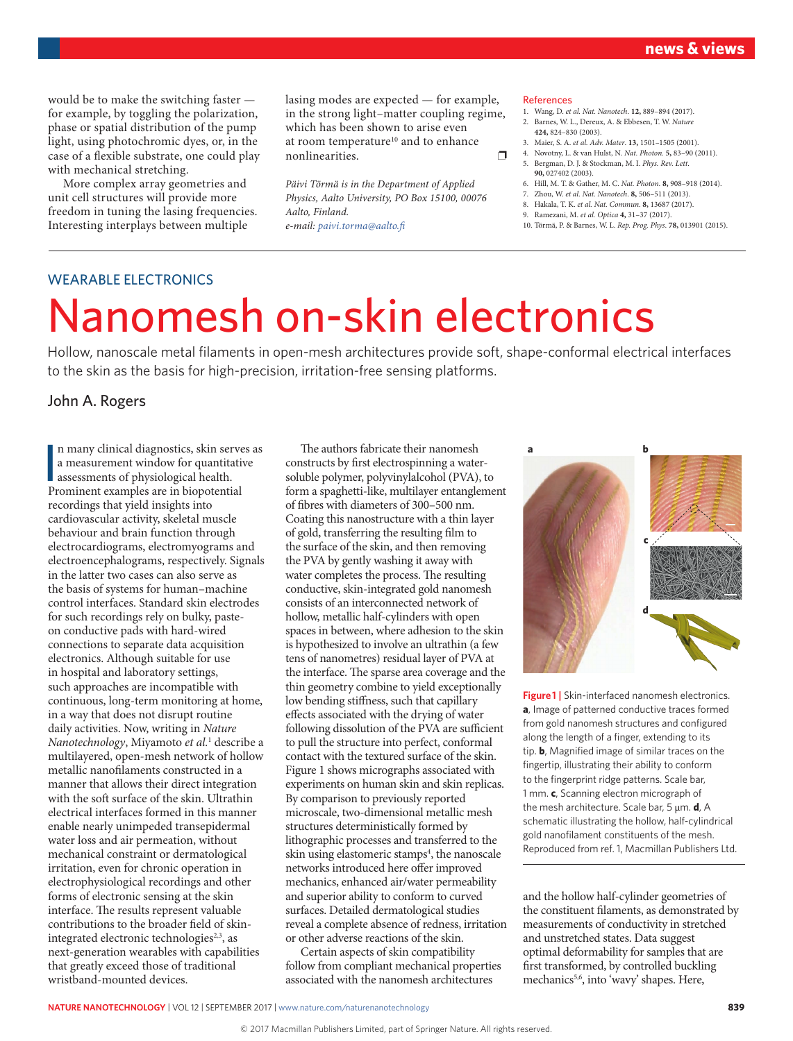would be to make the switching faster for example, by toggling the polarization, phase or spatial distribution of the pump light, using photochromic dyes, or, in the case of a flexible substrate, one could play with mechanical stretching.

More complex array geometries and unit cell structures will provide more freedom in tuning the lasing frequencies. Interesting interplays between multiple

lasing modes are expected — for example, in the strong light–matter coupling regime, which has been shown to arise even at room temperature<sup>10</sup> and to enhance nonlinearities.

*Päivi Törmä is in the Department of Applied Physics, Aalto University, PO Box 15100, 00076 Aalto, Finland.*

*e-mail: [paivi.torma@aalto.fi](mailto:paivi.torma%40aalto.fi?subject=)*

#### References

- 1. Wang, D. *et al. Nat. Nanotech*. **12,** 889–894 (2017).
- 2. Barnes, W. L., Dereux, A. & Ebbesen, T. W. *Nature* **424,** 824–830 (2003).
- 3. Maier, S. A. *et al. Adv. Mater*. **13,** 1501–1505 (2001).
- 4. Novotny, L. & van Hulst, N. *Nat. Photon.* **5,** 83–90 (2011). 5. Bergman, D. J. & Stockman, M. I. *Phys. Rev. Lett*.
- **90,** 027402 (2003).
- 6. Hill, M. T. & Gather, M. C. *Nat. Photon.* **8,** 908–918 (2014).
- 7. Zhou, W. *et al. Nat. Nanotech*. **8,** 506–511 (2013).
- 8. Hakala, T. K. *et al. Nat. Commun*. **8,** 13687 (2017).
- 9. Ramezani, M. *et al. Optica* **4,** 31–37 (2017).
- 10. Törmä, P. & Barnes, W. L. *Rep. Prog. Phys*. **78,** 013901 (2015).

#### WEARABLE ELECTRONICS

# Nanomesh on-skin electronics

Hollow, nanoscale metal filaments in open-mesh architectures provide soft, shape-conformal electrical interfaces to the skin as the basis for high-precision, irritation-free sensing platforms.

## John A. Rogers

In many clinical diagnostics, skin server a measurement window for quantitative assessments of physiological health.<br>Prominent examples are in biopotential n many clinical diagnostics, skin serves as a measurement window for quantitative assessments of physiological health. recordings that yield insights into cardiovascular activity, skeletal muscle behaviour and brain function through electrocardiograms, electromyograms and electroencephalograms, respectively. Signals in the latter two cases can also serve as the basis of systems for human–machine control interfaces. Standard skin electrodes for such recordings rely on bulky, pasteon conductive pads with hard-wired connections to separate data acquisition electronics. Although suitable for use in hospital and laboratory settings, such approaches are incompatible with continuous, long-term monitoring at home, in a way that does not disrupt routine daily activities. Now, writing in *Nature Nanotechnology*, Miyamoto *et al.*<sup>1</sup> describe a multilayered, open-mesh network of hollow metallic nanofilaments constructed in a manner that allows their direct integration with the soft surface of the skin. Ultrathin electrical interfaces formed in this manner enable nearly unimpeded transepidermal water loss and air permeation, without mechanical constraint or dermatological irritation, even for chronic operation in electrophysiological recordings and other forms of electronic sensing at the skin interface. The results represent valuable contributions to the broader field of skinintegrated electronic technologies<sup>2,3</sup>, as next-generation wearables with capabilities that greatly exceed those of traditional wristband-mounted devices.

The authors fabricate their nanomesh constructs by first electrospinning a watersoluble polymer, polyvinylalcohol (PVA), to form a spaghetti-like, multilayer entanglement of fibres with diameters of 300–500 nm. Coating this nanostructure with a thin layer of gold, transferring the resulting film to the surface of the skin, and then removing the PVA by gently washing it away with water completes the process. The resulting conductive, skin-integrated gold nanomesh consists of an interconnected network of hollow, metallic half-cylinders with open spaces in between, where adhesion to the skin is hypothesized to involve an ultrathin (a few tens of nanometres) residual layer of PVA at the interface. The sparse area coverage and the thin geometry combine to yield exceptionally low bending stiffness, such that capillary effects associated with the drying of water following dissolution of the PVA are sufficient to pull the structure into perfect, conformal contact with the textured surface of the skin. Figure 1 shows micrographs associated with experiments on human skin and skin replicas. By comparison to previously reported microscale, two-dimensional metallic mesh structures deterministically formed by lithographic processes and transferred to the skin using elastomeric stamps<sup>4</sup>, the nanoscale networks introduced here offer improved mechanics, enhanced air/water permeability and superior ability to conform to curved surfaces. Detailed dermatological studies reveal a complete absence of redness, irritation or other adverse reactions of the skin.

Certain aspects of skin compatibility follow from compliant mechanical properties associated with the nanomesh architectures



**Figure 1 |** Skin-interfaced nanomesh electronics. **a**, Image of patterned conductive traces formed from gold nanomesh structures and configured along the length of a finger, extending to its tip. **b**, Magnified image of similar traces on the fingertip, illustrating their ability to conform to the fingerprint ridge patterns. Scale bar, 1 mm. **c**, Scanning electron micrograph of the mesh architecture. Scale bar, 5 μm. **d**, A schematic illustrating the hollow, half-cylindrical gold nanofilament constituents of the mesh. Reproduced from ref. 1, Macmillan Publishers Ltd.

and the hollow half-cylinder geometries of the constituent filaments, as demonstrated by measurements of conductivity in stretched and unstretched states. Data suggest optimal deformability for samples that are first transformed, by controlled buckling mechanics<sup>5,6</sup>, into 'wavy' shapes. Here,